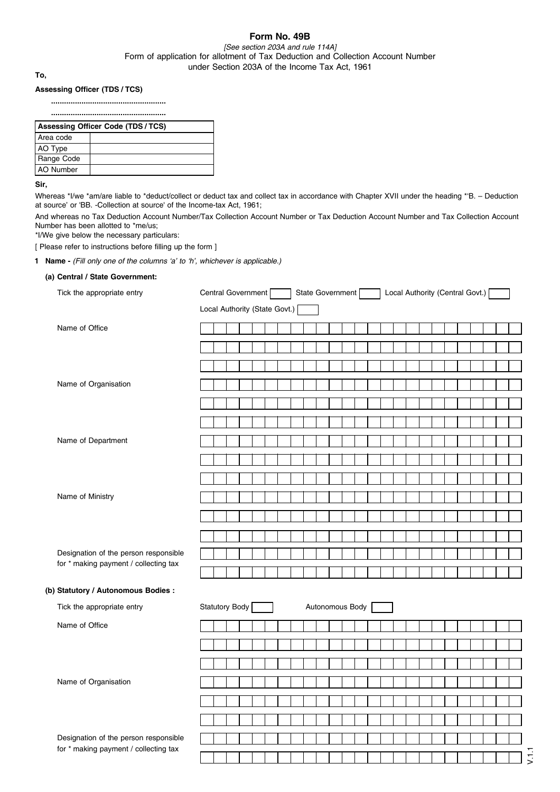# **Form No. 49B**

*[See section 203A and rule 114A]* Form of application for allotment of Tax Deduction and Collection Account Number under Section 203A of the Income Tax Act, 1961

**To,**

#### **Assessing Officer (TDS / TCS)**

**..................................................... .....................................................**

| Assessing Officer Code (TDS / TCS) |  |  |  |  |  |  |  |  |  |  |
|------------------------------------|--|--|--|--|--|--|--|--|--|--|
| Area code                          |  |  |  |  |  |  |  |  |  |  |
| AO Type                            |  |  |  |  |  |  |  |  |  |  |
| Range Code                         |  |  |  |  |  |  |  |  |  |  |
| <b>AO</b> Number                   |  |  |  |  |  |  |  |  |  |  |

**Sir,**

Whereas \*I/we \*am/are liable to \*deduct/collect or deduct tax and collect tax in accordance with Chapter XVII under the heading \*'B. - Deduction at source' or 'BB. -Collection at source' of the Income-tax Act, 1961;

And whereas no Tax Deduction Account Number/Tax Collection Account Number or Tax Deduction Account Number and Tax Collection Account Number has been allotted to \*me/us;

\*I/We give below the necessary particulars:

[ Please refer to instructions before filling up the form ]

**1 Name -** *(Fill only one of the columns 'a' to 'h', whichever is applicable.)*

#### **(a) Central / State Government:**

| Tick the appropriate entry                                                     | Central Government<br>Local Authority (Central Govt.)<br>State Government |
|--------------------------------------------------------------------------------|---------------------------------------------------------------------------|
|                                                                                | Local Authority (State Govt.) [                                           |
| Name of Office                                                                 |                                                                           |
|                                                                                |                                                                           |
|                                                                                |                                                                           |
| Name of Organisation                                                           |                                                                           |
|                                                                                |                                                                           |
|                                                                                |                                                                           |
| Name of Department                                                             |                                                                           |
|                                                                                |                                                                           |
|                                                                                |                                                                           |
| Name of Ministry                                                               |                                                                           |
|                                                                                |                                                                           |
|                                                                                |                                                                           |
| Designation of the person responsible                                          |                                                                           |
| for * making payment / collecting tax                                          |                                                                           |
| (b) Statutory / Autonomous Bodies :                                            |                                                                           |
| Tick the appropriate entry                                                     | Statutory Body<br>Autonomous Body                                         |
| Name of Office                                                                 |                                                                           |
|                                                                                |                                                                           |
|                                                                                |                                                                           |
|                                                                                |                                                                           |
| Name of Organisation                                                           |                                                                           |
|                                                                                |                                                                           |
|                                                                                |                                                                           |
| Designation of the person responsible<br>for * making payment / collecting tax |                                                                           |
|                                                                                |                                                                           |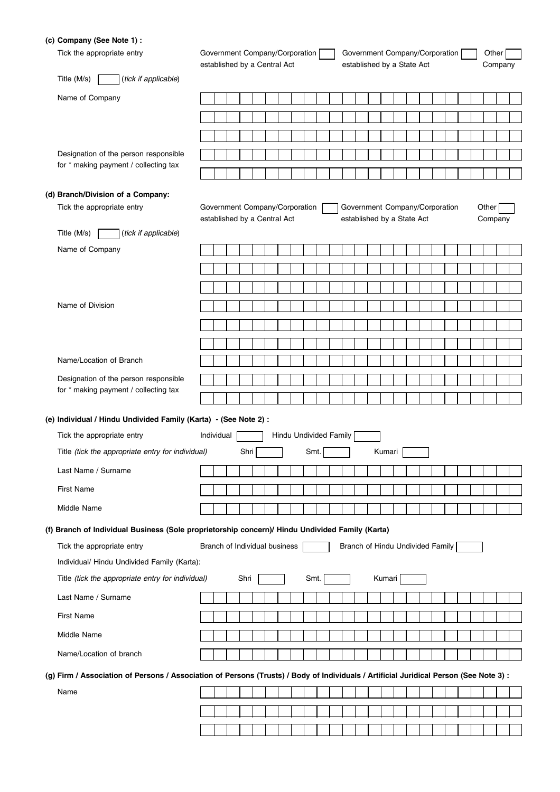### **(c) Company (See Note 1) :**

| Tick the appropriate entry<br>Title (M/s)                                                                                              | Government Company/Corporation<br>established by a Central Act |  |      |  |  |  |  |      |  |                        | Government Company/Corporation<br>established by a State Act |                                  |  |        |  |  |  |  |  |  |  |       | Other<br>Company |  |  |  |  |  |  |
|----------------------------------------------------------------------------------------------------------------------------------------|----------------------------------------------------------------|--|------|--|--|--|--|------|--|------------------------|--------------------------------------------------------------|----------------------------------|--|--------|--|--|--|--|--|--|--|-------|------------------|--|--|--|--|--|--|
| (tick if applicable)                                                                                                                   |                                                                |  |      |  |  |  |  |      |  |                        |                                                              |                                  |  |        |  |  |  |  |  |  |  |       |                  |  |  |  |  |  |  |
| Name of Company                                                                                                                        |                                                                |  |      |  |  |  |  |      |  |                        |                                                              |                                  |  |        |  |  |  |  |  |  |  |       |                  |  |  |  |  |  |  |
|                                                                                                                                        |                                                                |  |      |  |  |  |  |      |  |                        |                                                              |                                  |  |        |  |  |  |  |  |  |  |       |                  |  |  |  |  |  |  |
|                                                                                                                                        |                                                                |  |      |  |  |  |  |      |  |                        |                                                              |                                  |  |        |  |  |  |  |  |  |  |       |                  |  |  |  |  |  |  |
| Designation of the person responsible                                                                                                  |                                                                |  |      |  |  |  |  |      |  |                        |                                                              |                                  |  |        |  |  |  |  |  |  |  |       |                  |  |  |  |  |  |  |
| for * making payment / collecting tax                                                                                                  |                                                                |  |      |  |  |  |  |      |  |                        |                                                              |                                  |  |        |  |  |  |  |  |  |  |       |                  |  |  |  |  |  |  |
|                                                                                                                                        |                                                                |  |      |  |  |  |  |      |  |                        |                                                              |                                  |  |        |  |  |  |  |  |  |  |       |                  |  |  |  |  |  |  |
| (d) Branch/Division of a Company:<br>Tick the appropriate entry                                                                        | Government Company/Corporation                                 |  |      |  |  |  |  |      |  |                        |                                                              | Government Company/Corporation   |  |        |  |  |  |  |  |  |  | Other |                  |  |  |  |  |  |  |
|                                                                                                                                        | established by a Central Act                                   |  |      |  |  |  |  |      |  |                        |                                                              | established by a State Act       |  |        |  |  |  |  |  |  |  |       | Company          |  |  |  |  |  |  |
| Title (M/s)<br>(tick if applicable)                                                                                                    |                                                                |  |      |  |  |  |  |      |  |                        |                                                              |                                  |  |        |  |  |  |  |  |  |  |       |                  |  |  |  |  |  |  |
| Name of Company                                                                                                                        |                                                                |  |      |  |  |  |  |      |  |                        |                                                              |                                  |  |        |  |  |  |  |  |  |  |       |                  |  |  |  |  |  |  |
|                                                                                                                                        |                                                                |  |      |  |  |  |  |      |  |                        |                                                              |                                  |  |        |  |  |  |  |  |  |  |       |                  |  |  |  |  |  |  |
|                                                                                                                                        |                                                                |  |      |  |  |  |  |      |  |                        |                                                              |                                  |  |        |  |  |  |  |  |  |  |       |                  |  |  |  |  |  |  |
| Name of Division                                                                                                                       |                                                                |  |      |  |  |  |  |      |  |                        |                                                              |                                  |  |        |  |  |  |  |  |  |  |       |                  |  |  |  |  |  |  |
|                                                                                                                                        |                                                                |  |      |  |  |  |  |      |  |                        |                                                              |                                  |  |        |  |  |  |  |  |  |  |       |                  |  |  |  |  |  |  |
|                                                                                                                                        |                                                                |  |      |  |  |  |  |      |  |                        |                                                              |                                  |  |        |  |  |  |  |  |  |  |       |                  |  |  |  |  |  |  |
|                                                                                                                                        |                                                                |  |      |  |  |  |  |      |  |                        |                                                              |                                  |  |        |  |  |  |  |  |  |  |       |                  |  |  |  |  |  |  |
| Name/Location of Branch                                                                                                                |                                                                |  |      |  |  |  |  |      |  |                        |                                                              |                                  |  |        |  |  |  |  |  |  |  |       |                  |  |  |  |  |  |  |
| Designation of the person responsible                                                                                                  |                                                                |  |      |  |  |  |  |      |  |                        |                                                              |                                  |  |        |  |  |  |  |  |  |  |       |                  |  |  |  |  |  |  |
| for * making payment / collecting tax                                                                                                  |                                                                |  |      |  |  |  |  |      |  |                        |                                                              |                                  |  |        |  |  |  |  |  |  |  |       |                  |  |  |  |  |  |  |
| (e) Individual / Hindu Undivided Family (Karta) - (See Note 2) :                                                                       |                                                                |  |      |  |  |  |  |      |  |                        |                                                              |                                  |  |        |  |  |  |  |  |  |  |       |                  |  |  |  |  |  |  |
| Tick the appropriate entry                                                                                                             | Individual                                                     |  |      |  |  |  |  |      |  | Hindu Undivided Family |                                                              |                                  |  |        |  |  |  |  |  |  |  |       |                  |  |  |  |  |  |  |
| Title (tick the appropriate entry for individual)                                                                                      |                                                                |  | Shri |  |  |  |  | Smt. |  |                        | Kumari                                                       |                                  |  |        |  |  |  |  |  |  |  |       |                  |  |  |  |  |  |  |
| Last Name / Surname                                                                                                                    |                                                                |  |      |  |  |  |  |      |  |                        |                                                              |                                  |  |        |  |  |  |  |  |  |  |       |                  |  |  |  |  |  |  |
| <b>First Name</b>                                                                                                                      |                                                                |  |      |  |  |  |  |      |  |                        |                                                              |                                  |  |        |  |  |  |  |  |  |  |       |                  |  |  |  |  |  |  |
| Middle Name                                                                                                                            |                                                                |  |      |  |  |  |  |      |  |                        |                                                              |                                  |  |        |  |  |  |  |  |  |  |       |                  |  |  |  |  |  |  |
| (f) Branch of Individual Business (Sole proprietorship concern)/ Hindu Undivided Family (Karta)                                        |                                                                |  |      |  |  |  |  |      |  |                        |                                                              |                                  |  |        |  |  |  |  |  |  |  |       |                  |  |  |  |  |  |  |
| Tick the appropriate entry                                                                                                             | Branch of Individual business                                  |  |      |  |  |  |  |      |  |                        |                                                              | Branch of Hindu Undivided Family |  |        |  |  |  |  |  |  |  |       |                  |  |  |  |  |  |  |
| Individual/ Hindu Undivided Family (Karta):                                                                                            |                                                                |  |      |  |  |  |  |      |  |                        |                                                              |                                  |  |        |  |  |  |  |  |  |  |       |                  |  |  |  |  |  |  |
| Title (tick the appropriate entry for individual)                                                                                      |                                                                |  | Shri |  |  |  |  | Smt. |  |                        |                                                              |                                  |  | Kumari |  |  |  |  |  |  |  |       |                  |  |  |  |  |  |  |
|                                                                                                                                        |                                                                |  |      |  |  |  |  |      |  |                        |                                                              |                                  |  |        |  |  |  |  |  |  |  |       |                  |  |  |  |  |  |  |
| Last Name / Surname                                                                                                                    |                                                                |  |      |  |  |  |  |      |  |                        |                                                              |                                  |  |        |  |  |  |  |  |  |  |       |                  |  |  |  |  |  |  |
| <b>First Name</b>                                                                                                                      |                                                                |  |      |  |  |  |  |      |  |                        |                                                              |                                  |  |        |  |  |  |  |  |  |  |       |                  |  |  |  |  |  |  |
| Middle Name                                                                                                                            |                                                                |  |      |  |  |  |  |      |  |                        |                                                              |                                  |  |        |  |  |  |  |  |  |  |       |                  |  |  |  |  |  |  |
| Name/Location of branch                                                                                                                |                                                                |  |      |  |  |  |  |      |  |                        |                                                              |                                  |  |        |  |  |  |  |  |  |  |       |                  |  |  |  |  |  |  |
| (g) Firm / Association of Persons / Association of Persons (Trusts) / Body of Individuals / Artificial Juridical Person (See Note 3) : |                                                                |  |      |  |  |  |  |      |  |                        |                                                              |                                  |  |        |  |  |  |  |  |  |  |       |                  |  |  |  |  |  |  |
| Name                                                                                                                                   |                                                                |  |      |  |  |  |  |      |  |                        |                                                              |                                  |  |        |  |  |  |  |  |  |  |       |                  |  |  |  |  |  |  |
|                                                                                                                                        |                                                                |  |      |  |  |  |  |      |  |                        |                                                              |                                  |  |        |  |  |  |  |  |  |  |       |                  |  |  |  |  |  |  |
|                                                                                                                                        |                                                                |  |      |  |  |  |  |      |  |                        |                                                              |                                  |  |        |  |  |  |  |  |  |  |       |                  |  |  |  |  |  |  |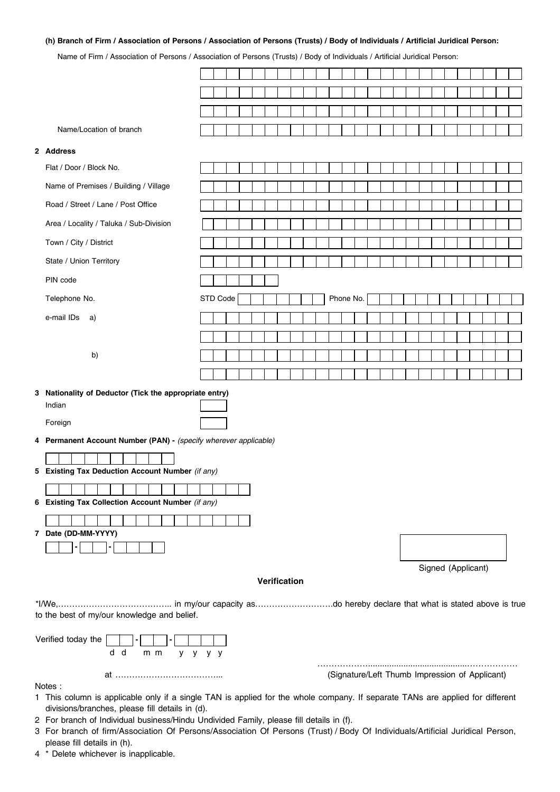### **(h) Branch of Firm / Association of Persons / Association of Persons (Trusts) / Body of Individuals / Artificial Juridical Person:**

Name of Firm / Association of Persons / Association of Persons (Trusts) / Body of Individuals / Artificial Juridical Person:

|        | 01 THIT ASSOCIATION TERSONS / ASSOCIATION FERSONS (TRUSIS) / DOUY OF INQIVIQUAIS / ARTICLAR ORIGINAL ERSON.                                |          |  |  |  |              |  |                                                |           |  |  |  |  |                    |  |  |
|--------|--------------------------------------------------------------------------------------------------------------------------------------------|----------|--|--|--|--------------|--|------------------------------------------------|-----------|--|--|--|--|--------------------|--|--|
|        |                                                                                                                                            |          |  |  |  |              |  |                                                |           |  |  |  |  |                    |  |  |
|        |                                                                                                                                            |          |  |  |  |              |  |                                                |           |  |  |  |  |                    |  |  |
|        |                                                                                                                                            |          |  |  |  |              |  |                                                |           |  |  |  |  |                    |  |  |
|        | Name/Location of branch                                                                                                                    |          |  |  |  |              |  |                                                |           |  |  |  |  |                    |  |  |
|        | 2 Address                                                                                                                                  |          |  |  |  |              |  |                                                |           |  |  |  |  |                    |  |  |
|        | Flat / Door / Block No.                                                                                                                    |          |  |  |  |              |  |                                                |           |  |  |  |  |                    |  |  |
|        | Name of Premises / Building / Village                                                                                                      |          |  |  |  |              |  |                                                |           |  |  |  |  |                    |  |  |
|        | Road / Street / Lane / Post Office                                                                                                         |          |  |  |  |              |  |                                                |           |  |  |  |  |                    |  |  |
|        | Area / Locality / Taluka / Sub-Division                                                                                                    |          |  |  |  |              |  |                                                |           |  |  |  |  |                    |  |  |
|        | Town / City / District                                                                                                                     |          |  |  |  |              |  |                                                |           |  |  |  |  |                    |  |  |
|        | State / Union Territory                                                                                                                    |          |  |  |  |              |  |                                                |           |  |  |  |  |                    |  |  |
|        | PIN code                                                                                                                                   |          |  |  |  |              |  |                                                |           |  |  |  |  |                    |  |  |
|        | Telephone No.                                                                                                                              | STD Code |  |  |  |              |  |                                                | Phone No. |  |  |  |  |                    |  |  |
|        | e-mail IDs<br>a)                                                                                                                           |          |  |  |  |              |  |                                                |           |  |  |  |  |                    |  |  |
|        |                                                                                                                                            |          |  |  |  |              |  |                                                |           |  |  |  |  |                    |  |  |
|        | b)                                                                                                                                         |          |  |  |  |              |  |                                                |           |  |  |  |  |                    |  |  |
|        |                                                                                                                                            |          |  |  |  |              |  |                                                |           |  |  |  |  |                    |  |  |
|        | 3 Nationality of Deductor (Tick the appropriate entry)<br>Indian<br>Foreign                                                                |          |  |  |  |              |  |                                                |           |  |  |  |  |                    |  |  |
|        | 4 Permanent Account Number (PAN) - (specify wherever applicable)                                                                           |          |  |  |  |              |  |                                                |           |  |  |  |  |                    |  |  |
|        |                                                                                                                                            |          |  |  |  |              |  |                                                |           |  |  |  |  |                    |  |  |
|        | 5 Existing Tax Deduction Account Number (if any)                                                                                           |          |  |  |  |              |  |                                                |           |  |  |  |  |                    |  |  |
|        |                                                                                                                                            |          |  |  |  |              |  |                                                |           |  |  |  |  |                    |  |  |
|        | 6 Existing Tax Collection Account Number (if any)                                                                                          |          |  |  |  |              |  |                                                |           |  |  |  |  |                    |  |  |
|        | 7 Date (DD-MM-YYYY)                                                                                                                        |          |  |  |  |              |  |                                                |           |  |  |  |  |                    |  |  |
|        |                                                                                                                                            |          |  |  |  |              |  |                                                |           |  |  |  |  |                    |  |  |
|        |                                                                                                                                            |          |  |  |  |              |  |                                                |           |  |  |  |  | Signed (Applicant) |  |  |
|        |                                                                                                                                            |          |  |  |  | Verification |  |                                                |           |  |  |  |  |                    |  |  |
|        |                                                                                                                                            |          |  |  |  |              |  |                                                |           |  |  |  |  |                    |  |  |
|        | to the best of my/our knowledge and belief.                                                                                                |          |  |  |  |              |  |                                                |           |  |  |  |  |                    |  |  |
|        | Verified today the<br>d d<br>$m$ $m$<br>y y y y                                                                                            |          |  |  |  |              |  |                                                |           |  |  |  |  |                    |  |  |
|        |                                                                                                                                            |          |  |  |  |              |  | (Signature/Left Thumb Impression of Applicant) |           |  |  |  |  |                    |  |  |
| Notes: | 1 This column is applicable only if a single TAN is applied for the whole company. If separate TANs are applied for different              |          |  |  |  |              |  |                                                |           |  |  |  |  |                    |  |  |
|        | divisions/branches, please fill details in (d).<br>2 For branch of Individual business/Hindu Undivided Family, please fill details in (f). |          |  |  |  |              |  |                                                |           |  |  |  |  |                    |  |  |

3 For branch of firm/Association Of Persons/Association Of Persons (Trust) / Body Of Individuals/Artificial Juridical Person, please fill details in (h).

4 \* Delete whichever is inapplicable.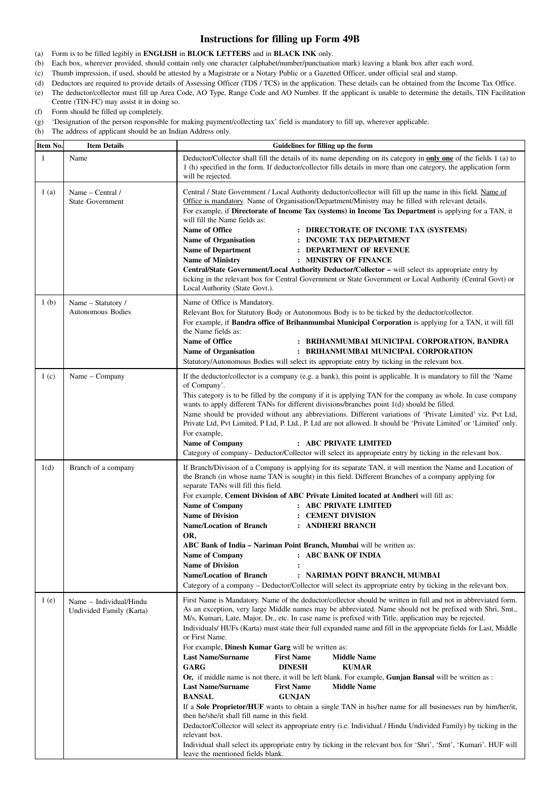## **Instructions for filling up Form 49B**

- (a) Form is to be filled legibly in **ENGLISH** in **BLOCK LETTERS** and in **BLACK INK** only.
- (b) Each box, wherever provided, should contain only one character (alphabet/number/punctuation mark) leaving a blank box after each word.
- (c) Thumb impression, if used, should be attested by a Magistrate or a Notary Public or a Gazetted Officer, under official seal and stamp.
- (d) Deductors are required to provide details of Assessing Officer (TDS / TCS) in the application. These details can be obtained from the Income Tax Office.
- (e) The deductor/collector must fill up Area Code, AO Type, Range Code and AO Number. If the applicant is unable to determine the details, TIN Facilitation Centre (TIN-FC) may assist it in doing so.
- (f) Form should be filled up completely.
- (g) 'Designation of the person responsible for making payment/collecting tax' field is mandatory to fill up, wherever applicable.
- (h) The address of applicant should be an Indian Address only.

| Item No.         | <b>Item Details</b>                                 | Guidelines for filling up the form                                                                                                                                                                                                                                                                                                                                                                                                                                                                                                                                                                                                                                                                                                                                                                                                                                                                                                                                                                                                                                                                                                                                                                                                                                                                                                           |
|------------------|-----------------------------------------------------|----------------------------------------------------------------------------------------------------------------------------------------------------------------------------------------------------------------------------------------------------------------------------------------------------------------------------------------------------------------------------------------------------------------------------------------------------------------------------------------------------------------------------------------------------------------------------------------------------------------------------------------------------------------------------------------------------------------------------------------------------------------------------------------------------------------------------------------------------------------------------------------------------------------------------------------------------------------------------------------------------------------------------------------------------------------------------------------------------------------------------------------------------------------------------------------------------------------------------------------------------------------------------------------------------------------------------------------------|
| 1                | Name                                                | Deductor/Collector shall fill the details of its name depending on its category in <b>only one</b> of the fields 1 (a) to<br>1 (h) specified in the form. If deductor/collector fills details in more than one category, the application form<br>will be rejected.                                                                                                                                                                                                                                                                                                                                                                                                                                                                                                                                                                                                                                                                                                                                                                                                                                                                                                                                                                                                                                                                           |
| 1(a)             | Name – Central /<br><b>State Government</b>         | Central / State Government / Local Authority deductor/collector will fill up the name in this field. Name of<br>Office is mandatory. Name of Organisation/Department/Ministry may be filled with relevant details.<br>For example, if Directorate of Income Tax (systems) in Income Tax Department is applying for a TAN, it<br>will fill the Name fields as:<br>Name of Office<br>: DIRECTORATE OF INCOME TAX (SYSTEMS)<br><b>Name of Organisation</b><br>: INCOME TAX DEPARTMENT<br><b>Name of Department</b><br>: DEPARTMENT OF REVENUE<br><b>Name of Ministry</b><br>: MINISTRY OF FINANCE<br>Central/State Government/Local Authority Deductor/Collector – will select its appropriate entry by<br>ticking in the relevant box for Central Government or State Government or Local Authority (Central Govt) or<br>Local Authority (State Govt.).                                                                                                                                                                                                                                                                                                                                                                                                                                                                                        |
| 1 <sub>(b)</sub> | Name - Statutory /<br>Autonomous Bodies             | Name of Office is Mandatory.<br>Relevant Box for Statutory Body or Autonomous Body is to be ticked by the deductor/collector.<br>For example, if <b>Bandra office of Brihanmumbai Municipal Corporation</b> is applying for a TAN, it will fill<br>the Name fields as:<br>Name of Office<br>: BRIHANMUMBAI MUNICIPAL CORPORATION, BANDRA<br>: BRIHANMUMBAI MUNICIPAL CORPORATION<br>Name of Organisation<br>Statutory/Autonomous Bodies will select its appropriate entry by ticking in the relevant box.                                                                                                                                                                                                                                                                                                                                                                                                                                                                                                                                                                                                                                                                                                                                                                                                                                    |
| 1(c)             | Name - Company                                      | If the deductor/collector is a company (e.g. a bank), this point is applicable. It is mandatory to fill the 'Name<br>of Company'.<br>This category is to be filled by the company if it is applying TAN for the company as whole. In case company<br>wants to apply different TANs for different divisions/branches point 1(d) should be filled.<br>Name should be provided without any abbreviations. Different variations of 'Private Limited' viz. Pvt Ltd,<br>Private Ltd, Pvt Limited, P Ltd, P. Ltd., P. Ltd are not allowed. It should be 'Private Limited' or 'Limited' only.<br>For example,<br><b>Name of Company</b><br>: ABC PRIVATE LIMITED<br>Category of company–Deductor/Collector will select its appropriate entry by ticking in the relevant box.                                                                                                                                                                                                                                                                                                                                                                                                                                                                                                                                                                         |
| 1(d)             | Branch of a company                                 | If Branch/Division of a Company is applying for its separate TAN, it will mention the Name and Location of<br>the Branch (in whose name TAN is sought) in this field. Different Branches of a company applying for<br>separate TANs will fill this field.<br>For example, Cement Division of ABC Private Limited located at Andheri will fill as:<br>Name of Company<br>: ABC PRIVATE LIMITED<br><b>Name of Division</b><br>: CEMENT DIVISION<br><b>Name/Location of Branch</b><br>: ANDHERI BRANCH<br>OR,<br><b>ABC Bank of India – Nariman Point Branch, Mumbai</b> will be written as:<br>: ABC BANK OF INDIA<br><b>Name of Company</b><br><b>Name of Division</b><br>: NARIMAN POINT BRANCH, MUMBAI<br><b>Name/Location of Branch</b><br>Category of a company – Deductor/Collector will select its appropriate entry by ticking in the relevant box.                                                                                                                                                                                                                                                                                                                                                                                                                                                                                    |
| 1(e)             | Name - Individual/Hindu<br>Undivided Family (Karta) | First Name is Mandatory. Name of the deductor/collector should be written in full and not in abbreviated form.<br>As an exception, very large Middle names may be abbreviated. Name should not be prefixed with Shri, Smt.,<br>M/s, Kumari, Late, Major, Dr., etc. In case name is prefixed with Title, application may be rejected.<br>Individuals/HUFs (Karta) must state their full expanded name and fill in the appropriate fields for Last, Middle<br>or First Name.<br>For example, Dinesh Kumar Garg will be written as:<br><b>Last Name/Surname</b><br><b>First Name</b><br><b>Middle Name</b><br><b>GARG</b><br><b>DINESH</b><br><b>KUMAR</b><br>Or, if middle name is not there, it will be left blank. For example, Gunjan Bansal will be written as :<br><b>Last Name/Surname</b><br><b>First Name</b><br><b>Middle Name</b><br><b>BANSAL</b><br><b>GUNJAN</b><br>If a Sole Proprietor/HUF wants to obtain a single TAN in his/her name for all businesses run by him/her/it,<br>then he/she/it shall fill name in this field.<br>Deductor/Collector will select its appropriate entry (i.e. Individual / Hindu Undivided Family) by ticking in the<br>relevant box.<br>Individual shall select its appropriate entry by ticking in the relevant box for 'Shri', 'Smt', 'Kumari'. HUF will<br>leave the mentioned fields blank. |